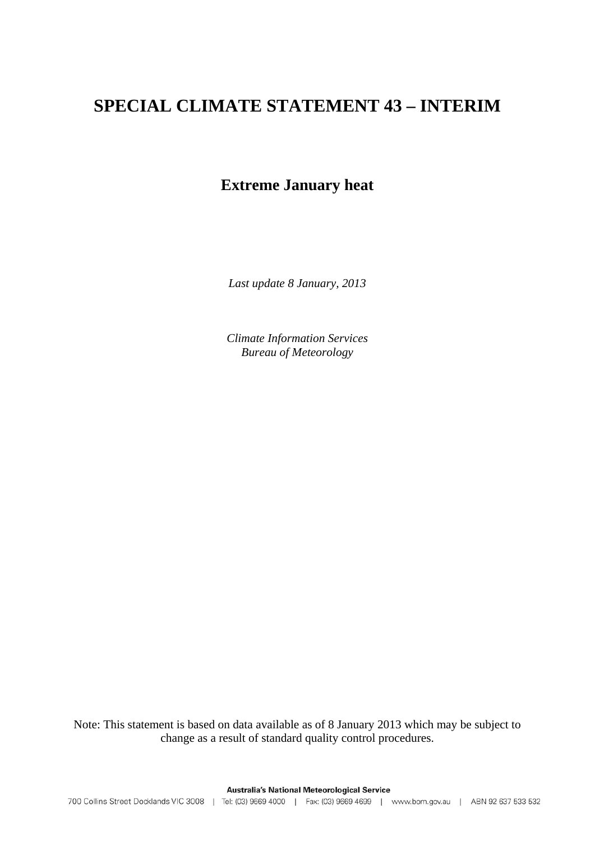# **SPECIAL CLIMATE STATEMENT 43 – INTERIM**

# **Extreme January heat**

*Last update 8 January, 2013* 

*Climate Information Services Bureau of Meteorology*

Note: This statement is based on data available as of 8 January 2013 which may be subject to change as a result of standard quality control procedures.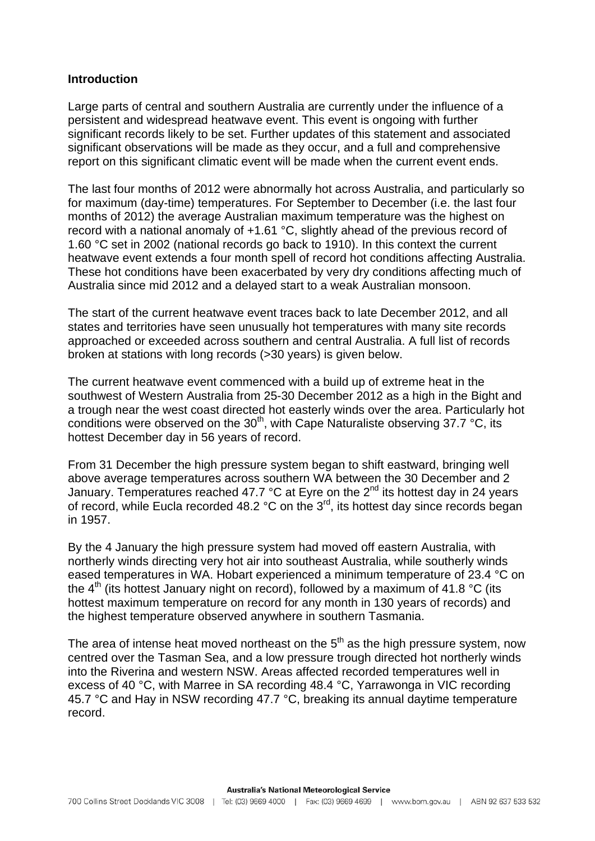### **Introduction**

Large parts of central and southern Australia are currently under the influence of a persistent and widespread heatwave event. This event is ongoing with further significant records likely to be set. Further updates of this statement and associated significant observations will be made as they occur, and a full and comprehensive report on this significant climatic event will be made when the current event ends.

The last four months of 2012 were abnormally hot across Australia, and particularly so for maximum (day-time) temperatures. For September to December (i.e. the last four months of 2012) the average Australian maximum temperature was the highest on record with a national anomaly of +1.61 °C, slightly ahead of the previous record of 1.60 °C set in 2002 (national records go back to 1910). In this context the current heatwave event extends a four month spell of record hot conditions affecting Australia. These hot conditions have been exacerbated by very dry conditions affecting much of Australia since mid 2012 and a delayed start to a weak Australian monsoon.

The start of the current heatwave event traces back to late December 2012, and all states and territories have seen unusually hot temperatures with many site records approached or exceeded across southern and central Australia. A full list of records broken at stations with long records (>30 years) is given below.

The current heatwave event commenced with a build up of extreme heat in the southwest of Western Australia from 25-30 December 2012 as a high in the Bight and a trough near the west coast directed hot easterly winds over the area. Particularly hot conditions were observed on the 30<sup>th</sup>, with Cape Naturaliste observing 37.7 °C, its hottest December day in 56 years of record.

From 31 December the high pressure system began to shift eastward, bringing well above average temperatures across southern WA between the 30 December and 2 January. Temperatures reached 47.7  $\degree$ C at Eyre on the 2<sup>nd</sup> its hottest day in 24 years of record, while Eucla recorded 48.2 °C on the 3<sup>rd</sup>, its hottest day since records began in 1957.

By the 4 January the high pressure system had moved off eastern Australia, with northerly winds directing very hot air into southeast Australia, while southerly winds eased temperatures in WA. Hobart experienced a minimum temperature of 23.4 °C on the  $4<sup>th</sup>$  (its hottest January night on record), followed by a maximum of 41.8 °C (its hottest maximum temperature on record for any month in 130 years of records) and the highest temperature observed anywhere in southern Tasmania.

The area of intense heat moved northeast on the  $5<sup>th</sup>$  as the high pressure system, now centred over the Tasman Sea, and a low pressure trough directed hot northerly winds into the Riverina and western NSW. Areas affected recorded temperatures well in excess of 40 °C, with Marree in SA recording 48.4 °C, Yarrawonga in VIC recording 45.7 °C and Hay in NSW recording 47.7 °C, breaking its annual daytime temperature record.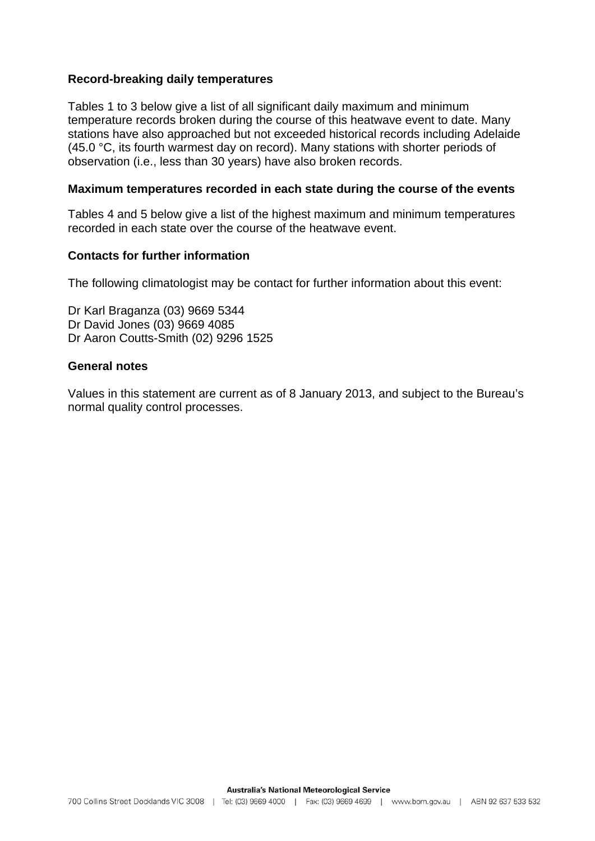## **Record-breaking daily temperatures**

Tables 1 to 3 below give a list of all significant daily maximum and minimum temperature records broken during the course of this heatwave event to date. Many stations have also approached but not exceeded historical records including Adelaide (45.0 °C, its fourth warmest day on record). Many stations with shorter periods of observation (i.e., less than 30 years) have also broken records.

#### **Maximum temperatures recorded in each state during the course of the events**

Tables 4 and 5 below give a list of the highest maximum and minimum temperatures recorded in each state over the course of the heatwave event.

### **Contacts for further information**

The following climatologist may be contact for further information about this event:

Dr Karl Braganza (03) 9669 5344 Dr David Jones (03) 9669 4085 Dr Aaron Coutts-Smith (02) 9296 1525

### **General notes**

Values in this statement are current as of 8 January 2013, and subject to the Bureau's normal quality control processes.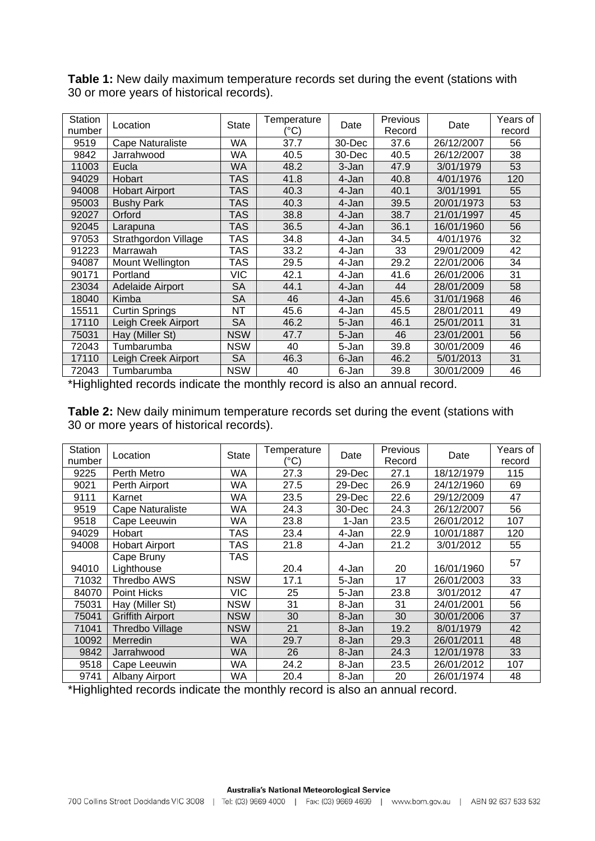| Station | Location              | <b>State</b> | Temperature | Date   | Previous | Date       | Years of |
|---------|-----------------------|--------------|-------------|--------|----------|------------|----------|
| number  |                       |              | (°C)        |        | Record   |            | record   |
| 9519    | Cape Naturaliste      | <b>WA</b>    | 37.7        | 30-Dec | 37.6     | 26/12/2007 | 56       |
| 9842    | Jarrahwood            | <b>WA</b>    | 40.5        | 30-Dec | 40.5     | 26/12/2007 | 38       |
| 11003   | Eucla                 | WA           | 48.2        | 3-Jan  | 47.9     | 3/01/1979  | 53       |
| 94029   | Hobart                | <b>TAS</b>   | 41.8        | 4-Jan  | 40.8     | 4/01/1976  | 120      |
| 94008   | <b>Hobart Airport</b> | TAS          | 40.3        | 4-Jan  | 40.1     | 3/01/1991  | 55       |
| 95003   | <b>Bushy Park</b>     | TAS          | 40.3        | 4-Jan  | 39.5     | 20/01/1973 | 53       |
| 92027   | Orford                | <b>TAS</b>   | 38.8        | 4-Jan  | 38.7     | 21/01/1997 | 45       |
| 92045   | Larapuna              | TAS          | 36.5        | 4-Jan  | 36.1     | 16/01/1960 | 56       |
| 97053   | Strathgordon Village  | TAS          | 34.8        | 4-Jan  | 34.5     | 4/01/1976  | 32       |
| 91223   | Marrawah              | <b>TAS</b>   | 33.2        | 4-Jan  | 33       | 29/01/2009 | 42       |
| 94087   | Mount Wellington      | TAS          | 29.5        | 4-Jan  | 29.2     | 22/01/2006 | 34       |
| 90171   | Portland              | <b>VIC</b>   | 42.1        | 4-Jan  | 41.6     | 26/01/2006 | 31       |
| 23034   | Adelaide Airport      | <b>SA</b>    | 44.1        | 4-Jan  | 44       | 28/01/2009 | 58       |
| 18040   | Kimba                 | SA           | 46          | 4-Jan  | 45.6     | 31/01/1968 | 46       |
| 15511   | Curtin Springs        | <b>NT</b>    | 45.6        | 4-Jan  | 45.5     | 28/01/2011 | 49       |
| 17110   | Leigh Creek Airport   | <b>SA</b>    | 46.2        | 5-Jan  | 46.1     | 25/01/2011 | 31       |
| 75031   | Hay (Miller St)       | <b>NSW</b>   | 47.7        | 5-Jan  | 46       | 23/01/2001 | 56       |
| 72043   | Tumbarumba            | <b>NSW</b>   | 40          | 5-Jan  | 39.8     | 30/01/2009 | 46       |
| 17110   | Leigh Creek Airport   | <b>SA</b>    | 46.3        | 6-Jan  | 46.2     | 5/01/2013  | 31       |
| 72043   | Tumbarumba            | <b>NSW</b>   | 40          | 6-Jan  | 39.8     | 30/01/2009 | 46       |

**Table 1:** New daily maximum temperature records set during the event (stations with 30 or more years of historical records).

\*Highlighted records indicate the monthly record is also an annual record.

**Table 2:** New daily minimum temperature records set during the event (stations with 30 or more years of historical records).

| <b>Station</b><br>number | Previous<br>Temperature<br>State<br>Date<br>Location<br>(°C)<br>Record |            | Date | Years of<br>record |      |            |     |
|--------------------------|------------------------------------------------------------------------|------------|------|--------------------|------|------------|-----|
| 9225                     | Perth Metro                                                            | WA         | 27.3 | 29-Dec             | 27.1 | 18/12/1979 | 115 |
| 9021                     | Perth Airport                                                          | WA         | 27.5 | 29-Dec             | 26.9 | 24/12/1960 | 69  |
| 9111                     | Karnet                                                                 | WA         | 23.5 | 29-Dec             | 22.6 | 29/12/2009 | 47  |
| 9519                     | <b>Cape Naturaliste</b>                                                | WA         | 24.3 | 30-Dec             | 24.3 | 26/12/2007 | 56  |
| 9518                     | Cape Leeuwin                                                           | WA         | 23.8 | 1-Jan              | 23.5 | 26/01/2012 | 107 |
| 94029                    | Hobart                                                                 | TAS        | 23.4 | 4-Jan              | 22.9 | 10/01/1887 | 120 |
| 94008                    | <b>Hobart Airport</b>                                                  | TAS        | 21.8 | 4-Jan              | 21.2 | 3/01/2012  | 55  |
|                          | Cape Bruny                                                             | TAS        |      |                    |      |            | 57  |
| 94010                    | Lighthouse                                                             |            | 20.4 | 4-Jan              | 20   | 16/01/1960 |     |
| 71032                    | Thredbo AWS                                                            | <b>NSW</b> | 17.1 | 5-Jan              | 17   | 26/01/2003 | 33  |
| 84070                    | Point Hicks                                                            | VIC        | 25   | 5-Jan              | 23.8 | 3/01/2012  | 47  |
| 75031                    | Hay (Miller St)                                                        | <b>NSW</b> | 31   | 8-Jan              | 31   | 24/01/2001 | 56  |
| 75041                    | <b>Griffith Airport</b>                                                | <b>NSW</b> | 30   | 8-Jan              | 30   | 30/01/2006 | 37  |
| 71041                    | <b>Thredbo Village</b>                                                 | <b>NSW</b> | 21   | 8-Jan              | 19.2 | 8/01/1979  | 42  |
| 10092                    | Merredin                                                               | WA         | 29.7 | 8-Jan              | 29.3 | 26/01/2011 | 48  |
| 9842                     | Jarrahwood                                                             | WA         | 26   | 8-Jan              | 24.3 | 12/01/1978 | 33  |
| 9518                     | Cape Leeuwin                                                           | WA         | 24.2 | 8-Jan              | 23.5 | 26/01/2012 | 107 |
| 9741                     | <b>Albany Airport</b>                                                  | WA         | 20.4 | 8-Jan              | 20   | 26/01/1974 | 48  |

\*Highlighted records indicate the monthly record is also an annual record.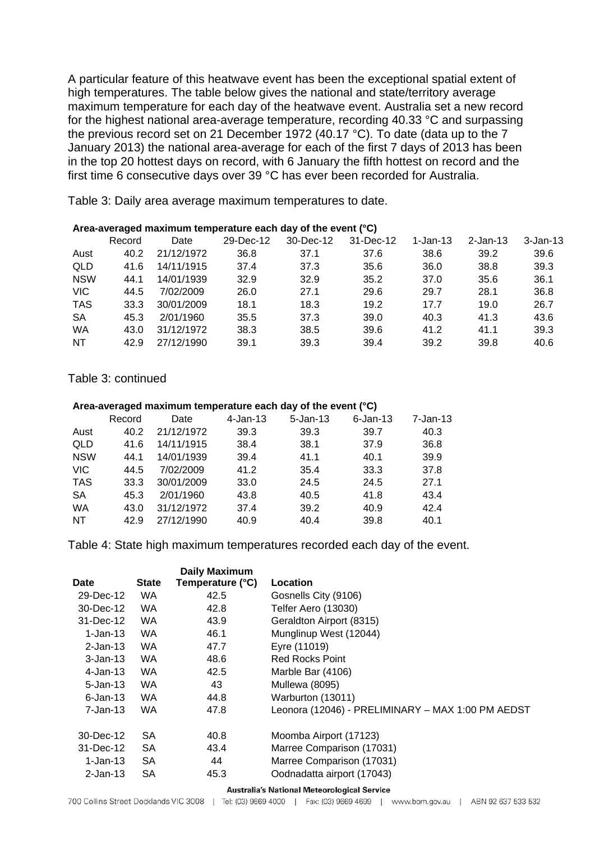A particular feature of this heatwave event has been the exceptional spatial extent of high temperatures. The table below gives the national and state/territory average maximum temperature for each day of the heatwave event. Australia set a new record for the highest national area-average temperature, recording 40.33 °C and surpassing the previous record set on 21 December 1972 (40.17 °C). To date (data up to the 7 January 2013) the national area-average for each of the first 7 days of 2013 has been in the top 20 hottest days on record, with 6 January the fifth hottest on record and the first time 6 consecutive days over 39 °C has ever been recorded for Australia.

Table 3: Daily area average maximum temperatures to date.

|            | Area-averaged maximum temperature each day or the event ( G) |            |           |           |           |          |             |              |  |
|------------|--------------------------------------------------------------|------------|-----------|-----------|-----------|----------|-------------|--------------|--|
|            | Record                                                       | Date       | 29-Dec-12 | 30-Dec-12 | 31-Dec-12 | 1-Jan-13 | $2$ -Jan-13 | $3 - Jan-13$ |  |
| Aust       | 40.2                                                         | 21/12/1972 | 36.8      | 37.1      | 37.6      | 38.6     | 39.2        | 39.6         |  |
| QLD        | 41.6                                                         | 14/11/1915 | 37.4      | 37.3      | 35.6      | 36.0     | 38.8        | 39.3         |  |
| <b>NSW</b> | 44.1                                                         | 14/01/1939 | 32.9      | 32.9      | 35.2      | 37.0     | 35.6        | 36.1         |  |
| <b>VIC</b> | 44.5                                                         | 7/02/2009  | 26.0      | 27.1      | 29.6      | 29.7     | 28.1        | 36.8         |  |
| <b>TAS</b> | 33.3                                                         | 30/01/2009 | 18.1      | 18.3      | 19.2      | 17.7     | 19.0        | 26.7         |  |
| <b>SA</b>  | 45.3                                                         | 2/01/1960  | 35.5      | 37.3      | 39.0      | 40.3     | 41.3        | 43.6         |  |
| <b>WA</b>  | 43.0                                                         | 31/12/1972 | 38.3      | 38.5      | 39.6      | 41.2     | 41.1        | 39.3         |  |
| <b>NT</b>  | 42.9                                                         | 27/12/1990 | 39.1      | 39.3      | 39.4      | 39.2     | 39.8        | 40.6         |  |
|            |                                                              |            |           |           |           |          |             |              |  |

**Area-averaged maximum temperature each day of the event (°C)**

Table 3: continued

#### **Area-averaged maximum temperature each day of the event (°C)**

| $7 - Jan-13$ |
|--------------|
| 40.3         |
| 36.8         |
| 39.9         |
| 37.8         |
| 27.1         |
| 43.4         |
| 42.4         |
| 40.1         |
|              |

Table 4: State high maximum temperatures recorded each day of the event.

|              |              | <b>Daily Maximum</b> |                                                   |
|--------------|--------------|----------------------|---------------------------------------------------|
| <b>Date</b>  | <b>State</b> | Temperature (°C)     | Location                                          |
| 29-Dec-12    | WA.          | 42.5                 | Gosnells City (9106)                              |
| 30-Dec-12    | WA.          | 42.8                 | Telfer Aero (13030)                               |
| 31-Dec-12    | WA.          | 43.9                 | Geraldton Airport (8315)                          |
| $1$ -Jan-13  | WA.          | 46.1                 | Munglinup West (12044)                            |
| $2$ -Jan-13  | <b>WA</b>    | 47.7                 | Eyre (11019)                                      |
| $3 - Jan-13$ | <b>WA</b>    | 48.6                 | <b>Red Rocks Point</b>                            |
| $4$ -Jan-13  | <b>WA</b>    | 42.5                 | Marble Bar (4106)                                 |
| $5 - Jan-13$ | WA.          | 43                   | <b>Mullewa (8095)</b>                             |
| $6$ -Jan-13  | WA.          | 44.8                 | Warburton (13011)                                 |
| 7-Jan-13     | WA.          | 47.8                 | Leonora (12046) - PRELIMINARY – MAX 1:00 PM AEDST |
| 30-Dec-12    | <b>SA</b>    | 40.8                 | Moomba Airport (17123)                            |
| 31-Dec-12    | <b>SA</b>    | 43.4                 | Marree Comparison (17031)                         |
| 1-Jan-13     | <b>SA</b>    | 44                   | Marree Comparison (17031)                         |
| 2-Jan-13     | <b>SA</b>    | 45.3                 | Oodnadatta airport (17043)                        |

#### **Australia's National Meteorological Service**

700 Collins Street Docklands VIC 3008 | Tel: (03) 9669 4000 | Fax: (03) 9669 4699 | www.bom.gov.au | ABN 92 637 533 532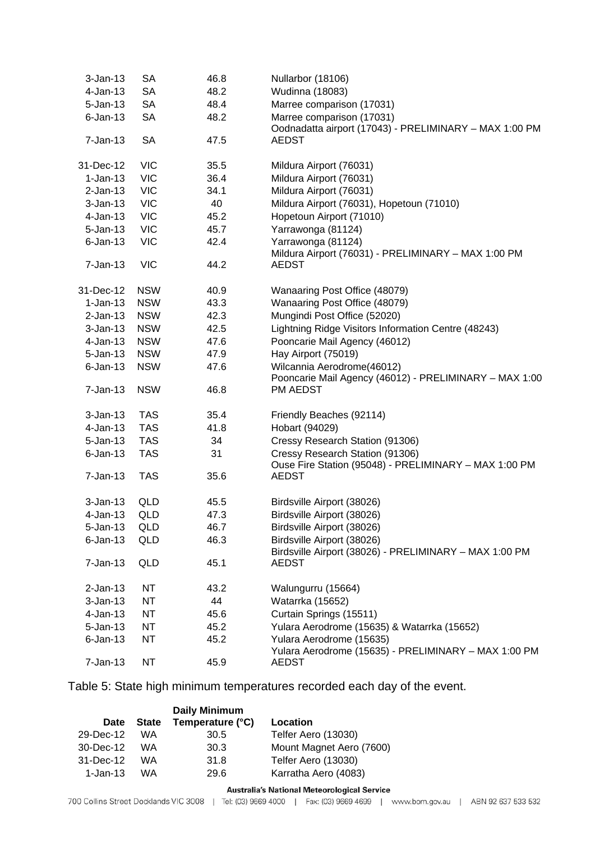| $3-Jan-13$   | <b>SA</b>  | 46.8 | Nullarbor (18106)                                                                        |
|--------------|------------|------|------------------------------------------------------------------------------------------|
| $4$ -Jan-13  | <b>SA</b>  | 48.2 | Wudinna (18083)                                                                          |
| $5 - Jan-13$ | <b>SA</b>  | 48.4 | Marree comparison (17031)                                                                |
| $6$ -Jan-13  | <b>SA</b>  | 48.2 | Marree comparison (17031)<br>Oodnadatta airport (17043) - PRELIMINARY - MAX 1:00 PM      |
| $7 - Jan-13$ | <b>SA</b>  | 47.5 | <b>AEDST</b>                                                                             |
| 31-Dec-12    | <b>VIC</b> | 35.5 | Mildura Airport (76031)                                                                  |
| $1-Jan-13$   | <b>VIC</b> | 36.4 | Mildura Airport (76031)                                                                  |
| $2-Jan-13$   | <b>VIC</b> | 34.1 | Mildura Airport (76031)                                                                  |
| $3-Jan-13$   | <b>VIC</b> | 40   | Mildura Airport (76031), Hopetoun (71010)                                                |
| $4$ -Jan-13  | <b>VIC</b> | 45.2 | Hopetoun Airport (71010)                                                                 |
| $5 - Jan-13$ | <b>VIC</b> | 45.7 | Yarrawonga (81124)                                                                       |
| $6$ -Jan-13  | <b>VIC</b> | 42.4 | Yarrawonga (81124)<br>Mildura Airport (76031) - PRELIMINARY - MAX 1:00 PM                |
| $7 - Jan-13$ | <b>VIC</b> | 44.2 | <b>AEDST</b>                                                                             |
| 31-Dec-12    | <b>NSW</b> | 40.9 | Wanaaring Post Office (48079)                                                            |
| $1-Jan-13$   | <b>NSW</b> | 43.3 | Wanaaring Post Office (48079)                                                            |
| $2$ -Jan-13  | <b>NSW</b> | 42.3 | Mungindi Post Office (52020)                                                             |
| $3 - Jan-13$ | <b>NSW</b> | 42.5 | Lightning Ridge Visitors Information Centre (48243)                                      |
| $4$ -Jan-13  | <b>NSW</b> | 47.6 | Pooncarie Mail Agency (46012)                                                            |
| $5 - Jan-13$ | <b>NSW</b> | 47.9 | Hay Airport (75019)                                                                      |
| $6$ -Jan-13  | <b>NSW</b> | 47.6 | Wilcannia Aerodrome(46012)                                                               |
|              |            |      | Pooncarie Mail Agency (46012) - PRELIMINARY - MAX 1:00                                   |
| $7 - Jan-13$ | <b>NSW</b> | 46.8 | PM AEDST                                                                                 |
| $3-Jan-13$   | <b>TAS</b> | 35.4 | Friendly Beaches (92114)                                                                 |
| $4$ -Jan-13  | <b>TAS</b> | 41.8 | Hobart (94029)                                                                           |
| $5 - Jan-13$ | <b>TAS</b> | 34   | Cressy Research Station (91306)                                                          |
| $6$ -Jan-13  | <b>TAS</b> | 31   | Cressy Research Station (91306)<br>Ouse Fire Station (95048) - PRELIMINARY - MAX 1:00 PM |
| $7 - Jan-13$ | <b>TAS</b> | 35.6 | <b>AEDST</b>                                                                             |
| $3 - Jan-13$ | QLD        | 45.5 | Birdsville Airport (38026)                                                               |
| 4-Jan-13     | <b>QLD</b> | 47.3 | Birdsville Airport (38026)                                                               |
| 5-Jan-13     | QLD        | 46.7 | Birdsville Airport (38026)                                                               |
| $6$ -Jan-13  | QLD        | 46.3 | Birdsville Airport (38026)<br>Birdsville Airport (38026) - PRELIMINARY - MAX 1:00 PM     |
| $7-Jan-13$   | QLD        | 45.1 | <b>AEDST</b>                                                                             |
| $2-Jan-13$   | NT         | 43.2 | Walungurru (15664)                                                                       |
| $3-Jan-13$   | <b>NT</b>  | 44   | Watarrka (15652)                                                                         |
| 4-Jan-13     | <b>NT</b>  | 45.6 | Curtain Springs (15511)                                                                  |
| 5-Jan-13     | ΝT         | 45.2 | Yulara Aerodrome (15635) & Watarrka (15652)                                              |
| $6$ -Jan-13  | <b>NT</b>  | 45.2 | Yulara Aerodrome (15635)                                                                 |
| 7-Jan-13     | NT         | 45.9 | Yulara Aerodrome (15635) - PRELIMINARY - MAX 1:00 PM<br>AEDST                            |

Table 5: State high minimum temperatures recorded each day of the event.

|              |           | <b>Daily Minimum</b> |                          |
|--------------|-----------|----------------------|--------------------------|
| Date         | State     | Temperature (°C)     | Location                 |
| 29-Dec-12    | WA        | 30.5                 | Telfer Aero (13030)      |
| 30-Dec-12    | WA        | 30.3                 | Mount Magnet Aero (7600) |
| 31-Dec-12    | <b>WA</b> | 31.8                 | Telfer Aero (13030)      |
| $1 - Jan-13$ | WA        | 29.6                 | Karratha Aero (4083)     |

#### Australia's National Meteorological Service

700 Collins Street Docklands VIC 3008 | Tel: (03) 9669 4000 | Fax: (03) 9669 4699 | www.bom.gov.au | ABN 92 637 533 532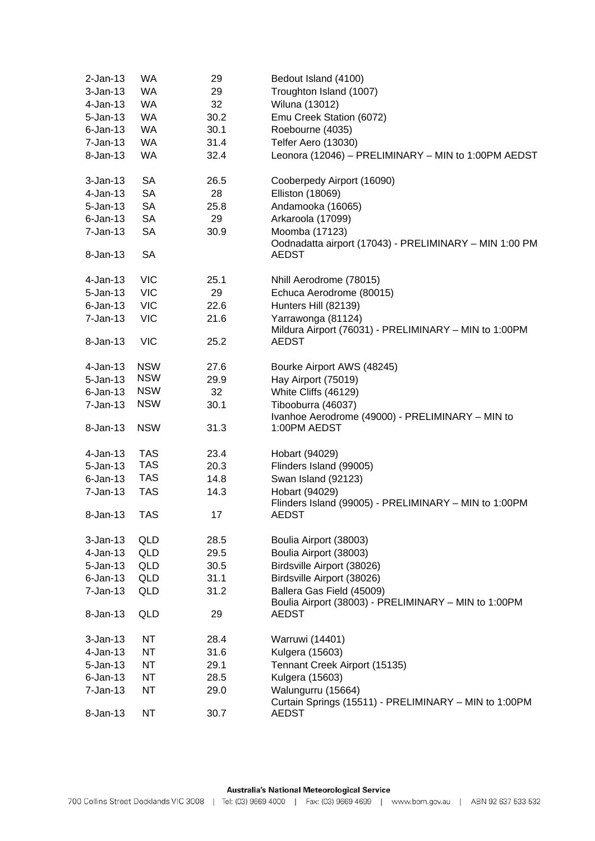| $2-Jan-13$   | <b>WA</b>  | 29   | Bedout Island (4100)                                   |
|--------------|------------|------|--------------------------------------------------------|
| $3-Jan-13$   | <b>WA</b>  | 29   | Troughton Island (1007)                                |
| $4$ -Jan-13  | <b>WA</b>  | 32   | Wiluna (13012)                                         |
| $5 - Jan-13$ | <b>WA</b>  | 30.2 | Emu Creek Station (6072)                               |
| $6$ -Jan-13  | <b>WA</b>  | 30.1 | Roebourne (4035)                                       |
| $7-Jan-13$   | WA         | 31.4 | Telfer Aero (13030)                                    |
| 8-Jan-13     | <b>WA</b>  | 32.4 | Leonora (12046) - PRELIMINARY - MIN to 1:00PM AEDST    |
|              |            |      |                                                        |
| $3 - Jan-13$ | <b>SA</b>  | 26.5 | Cooberpedy Airport (16090)                             |
| 4-Jan-13     | <b>SA</b>  | 28   | <b>Elliston (18069)</b>                                |
| $5 - Jan-13$ | <b>SA</b>  | 25.8 | Andamooka (16065)                                      |
| $6$ -Jan-13  | <b>SA</b>  | 29   | Arkaroola (17099)                                      |
| $7 - Jan-13$ | <b>SA</b>  | 30.9 | Moomba (17123)                                         |
|              |            |      | Oodnadatta airport (17043) - PRELIMINARY - MIN 1:00 PM |
| 8-Jan-13     | <b>SA</b>  |      | <b>AEDST</b>                                           |
| $4-Jan-13$   | <b>VIC</b> | 25.1 | Nhill Aerodrome (78015)                                |
| $5 - Jan-13$ | <b>VIC</b> | 29   | Echuca Aerodrome (80015)                               |
| $6$ -Jan-13  | <b>VIC</b> | 22.6 | Hunters Hill (82139)                                   |
| $7 - Jan-13$ | <b>VIC</b> | 21.6 | Yarrawonga (81124)                                     |
|              |            |      | Mildura Airport (76031) - PRELIMINARY - MIN to 1:00PM  |
| 8-Jan-13     | <b>VIC</b> | 25.2 | <b>AEDST</b>                                           |
| 4-Jan-13     | <b>NSW</b> | 27.6 | Bourke Airport AWS (48245)                             |
| $5 - Jan-13$ | <b>NSW</b> | 29.9 | Hay Airport (75019)                                    |
| $6$ -Jan-13  | <b>NSW</b> | 32   | White Cliffs (46129)                                   |
| $7-Jan-13$   | <b>NSW</b> | 30.1 | Tibooburra (46037)                                     |
|              |            |      | Ivanhoe Aerodrome (49000) - PRELIMINARY - MIN to       |
| 8-Jan-13     | <b>NSW</b> | 31.3 | 1:00PM AEDST                                           |
| $4$ -Jan-13  | <b>TAS</b> | 23.4 | Hobart (94029)                                         |
| $5 - Jan-13$ | <b>TAS</b> | 20.3 | Flinders Island (99005)                                |
| $6$ -Jan-13  | <b>TAS</b> | 14.8 | Swan Island (92123)                                    |
| $7 - Jan-13$ | <b>TAS</b> | 14.3 | Hobart (94029)                                         |
|              |            |      | Flinders Island (99005) - PRELIMINARY - MIN to 1:00PM  |
| 8-Jan-13     | <b>TAS</b> | 17   | <b>AEDST</b>                                           |
| $3-Jan-13$   | QLD        | 28.5 | Boulia Airport (38003)                                 |
| $4-Jan-13$   | <b>QLD</b> | 29.5 | Boulia Airport (38003)                                 |
| $5 - Jan-13$ | <b>QLD</b> | 30.5 | Birdsville Airport (38026)                             |
| $6$ -Jan-13  | QLD        | 31.1 | Birdsville Airport (38026)                             |
| $7 - Jan-13$ | <b>QLD</b> | 31.2 | Ballera Gas Field (45009)                              |
|              |            |      | Boulia Airport (38003) - PRELIMINARY - MIN to 1:00PM   |
| 8-Jan-13     | <b>QLD</b> | 29   | <b>AEDST</b>                                           |
| $3 - Jan-13$ | <b>NT</b>  | 28.4 | Warruwi (14401)                                        |
| 4-Jan-13     | <b>NT</b>  | 31.6 | Kulgera (15603)                                        |
| $5 - Jan-13$ | NT.        | 29.1 | Tennant Creek Airport (15135)                          |
| $6$ -Jan-13  | <b>NT</b>  | 28.5 | Kulgera (15603)                                        |
| $7 - Jan-13$ | <b>NT</b>  | 29.0 | Walungurru (15664)                                     |
|              |            |      | Curtain Springs (15511) - PRELIMINARY - MIN to 1:00PM  |
| 8-Jan-13     | <b>NT</b>  | 30.7 | <b>AEDST</b>                                           |
|              |            |      |                                                        |